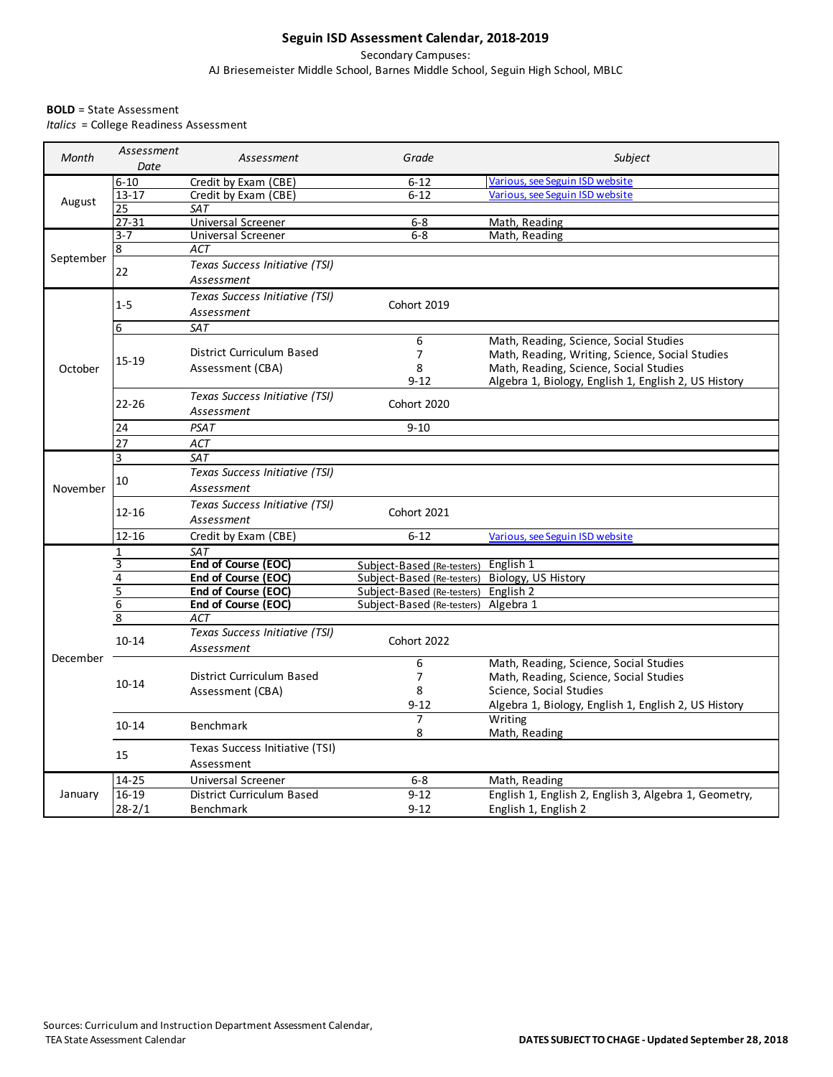## **Seguin ISD Assessment Calendar, 2018-2019**

Secondary Campuses: AJ Briesemeister Middle School, Barnes Middle School, Seguin High School, MBLC

## **BOLD** = State Assessment

*Italics* = College Readiness Assessment

| Month     | Assessment<br>Date | Assessment                                   | Grade                                                    | Subject                                               |
|-----------|--------------------|----------------------------------------------|----------------------------------------------------------|-------------------------------------------------------|
| August    | $6 - 10$           | Credit by Exam (CBE)                         | $6 - 12$                                                 | Various, see Seguin ISD website                       |
|           | $13 - 17$          | Credit by Exam (CBE)                         | $6 - 12$                                                 | Various, see Seguin ISD website                       |
|           | 25                 | <b>SAT</b>                                   |                                                          |                                                       |
|           | $27 - 31$          | Universal Screener                           | 6-8                                                      | Math, Reading                                         |
| September | $3 - 7$            | <b>Universal Screener</b>                    | $6 - 8$                                                  | Math, Reading                                         |
|           | 8                  | ACT                                          |                                                          |                                                       |
|           | 22                 | Texas Success Initiative (TSI)<br>Assessment |                                                          |                                                       |
|           | $1 - 5$            | Texas Success Initiative (TSI)<br>Assessment | Cohort 2019                                              |                                                       |
|           | 6                  | <b>SAT</b>                                   |                                                          |                                                       |
|           | $15 - 19$          |                                              | 6                                                        | Math, Reading, Science, Social Studies                |
|           |                    | District Curriculum Based                    | $\overline{7}$                                           | Math, Reading, Writing, Science, Social Studies       |
| October   |                    | Assessment (CBA)                             | 8                                                        | Math, Reading, Science, Social Studies                |
|           |                    |                                              | $9 - 12$                                                 | Algebra 1, Biology, English 1, English 2, US History  |
|           | 22-26              | Texas Success Initiative (TSI)<br>Assessment | Cohort 2020                                              |                                                       |
|           | 24                 | <b>PSAT</b>                                  | $9 - 10$                                                 |                                                       |
|           | $\overline{27}$    | ACT                                          |                                                          |                                                       |
|           | 3                  | <b>SAT</b>                                   |                                                          |                                                       |
|           |                    | Texas Success Initiative (TSI)               |                                                          |                                                       |
| November  | 10                 | Assessment                                   |                                                          |                                                       |
|           |                    | Texas Success Initiative (TSI)               |                                                          |                                                       |
|           | $12 - 16$          | Assessment                                   | Cohort 2021                                              |                                                       |
|           | $12 - 16$          |                                              | $6 - 12$                                                 |                                                       |
|           |                    | Credit by Exam (CBE)                         |                                                          | Various, see Seguin ISD website                       |
|           | 1<br>3             | <b>SAT</b><br>End of Course (EOC)            |                                                          | English 1                                             |
|           | 4                  | End of Course (EOC)                          | Subject-Based (Re-testers)<br>Subject-Based (Re-testers) | Biology, US History                                   |
|           | 5                  | End of Course (EOC)                          | Subject-Based (Re-testers)                               | English <sub>2</sub>                                  |
|           | $\overline{6}$     | End of Course (EOC)                          | Subject-Based (Re-testers)                               | Algebra 1                                             |
|           | $\overline{8}$     | <b>ACT</b>                                   |                                                          |                                                       |
|           | $10 - 14$          | Texas Success Initiative (TSI)               |                                                          |                                                       |
|           |                    | Assessment                                   | Cohort 2022                                              |                                                       |
| December  |                    |                                              | 6                                                        | Math, Reading, Science, Social Studies                |
|           | $10 - 14$          | District Curriculum Based                    | 7                                                        | Math, Reading, Science, Social Studies                |
|           |                    | Assessment (CBA)                             | 8                                                        | Science, Social Studies                               |
|           |                    |                                              | $9 - 12$                                                 | Algebra 1, Biology, English 1, English 2, US History  |
|           | $10 - 14$          |                                              | 7                                                        | Writing                                               |
|           |                    | <b>Benchmark</b>                             | 8                                                        | Math, Reading                                         |
|           | 15                 | Texas Success Initiative (TSI)               |                                                          |                                                       |
|           |                    | Assessment                                   |                                                          |                                                       |
| January   | $14 - 25$          | Universal Screener                           | $6 - 8$                                                  | Math, Reading                                         |
|           | 16-19              | District Curriculum Based                    | $9 - 12$                                                 | English 1, English 2, English 3, Algebra 1, Geometry, |
|           | $28 - 2/1$         | <b>Benchmark</b>                             | $9 - 12$                                                 | English 1, English 2                                  |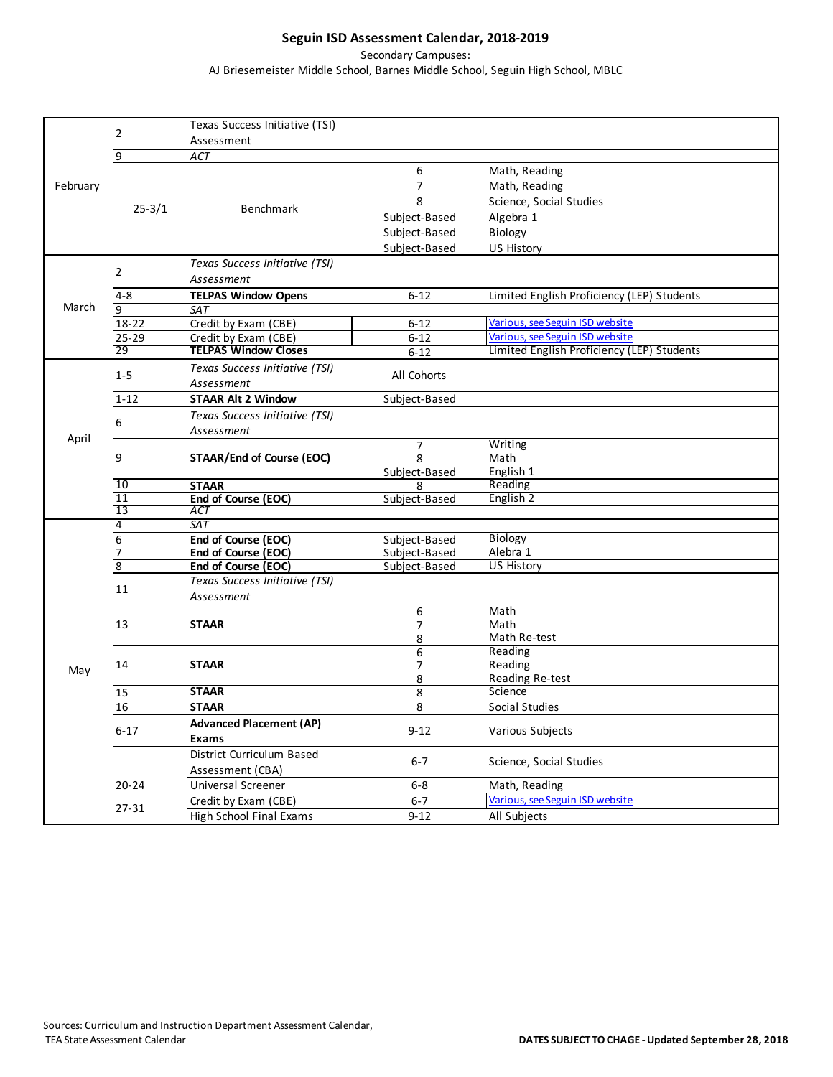## **Seguin ISD Assessment Calendar, 2018-2019**

Secondary Campuses:

AJ Briesemeister Middle School, Barnes Middle School, Seguin High School, MBLC

|          |                 | Texas Success Initiative (TSI)                      |                |                                                                               |
|----------|-----------------|-----------------------------------------------------|----------------|-------------------------------------------------------------------------------|
|          | 2               | Assessment                                          |                |                                                                               |
|          | <b>q</b>        | ACT                                                 |                |                                                                               |
|          |                 |                                                     | 6              | Math, Reading                                                                 |
| February |                 |                                                     | $\overline{7}$ | Math, Reading                                                                 |
|          | $25 - 3/1$      | <b>Benchmark</b>                                    | 8              | Science, Social Studies                                                       |
|          |                 |                                                     | Subject-Based  | Algebra 1                                                                     |
|          |                 |                                                     | Subject-Based  | Biology                                                                       |
|          |                 |                                                     |                |                                                                               |
|          |                 |                                                     | Subject-Based  | US History                                                                    |
|          | $\overline{2}$  | Texas Success Initiative (TSI)                      |                |                                                                               |
|          |                 | Assessment                                          |                |                                                                               |
| March    | $4 - 8$         | <b>TELPAS Window Opens</b>                          | $6 - 12$       | Limited English Proficiency (LEP) Students                                    |
|          | $\mathsf q$     | <b>SAT</b>                                          |                |                                                                               |
|          | 18-22           | Credit by Exam (CBE)                                | $6 - 12$       | Various, see Seguin ISD website                                               |
|          | $25 - 29$<br>29 | Credit by Exam (CBE)<br><b>TELPAS Window Closes</b> | $6 - 12$       | Various, see Seguin ISD website<br>Limited English Proficiency (LEP) Students |
|          |                 |                                                     | $6 - 12$       |                                                                               |
|          | $1 - 5$         | Texas Success Initiative (TSI)                      | All Cohorts    |                                                                               |
|          |                 | Assessment                                          |                |                                                                               |
|          | $1 - 12$        | <b>STAAR Alt 2 Window</b>                           | Subject-Based  |                                                                               |
|          | 6               | Texas Success Initiative (TSI)                      |                |                                                                               |
| April    |                 | Assessment                                          |                |                                                                               |
|          |                 |                                                     | $\overline{7}$ | Writing                                                                       |
|          | 9               | <b>STAAR/End of Course (EOC)</b>                    | 8              | Math                                                                          |
|          |                 |                                                     | Subject-Based  | English 1                                                                     |
|          | 10              | <b>STAAR</b>                                        | я              | Reading                                                                       |
|          | 11<br>13        | End of Course (EOC)<br>ACT                          | Subject-Based  | English 2                                                                     |
|          | $\overline{4}$  | $\overline{SAT}$                                    |                |                                                                               |
|          | $\overline{6}$  | End of Course (EOC)                                 | Subject-Based  | Biology                                                                       |
|          |                 | End of Course (EOC)                                 | Subject-Based  | Alebra 1                                                                      |
|          | 8               | End of Course (EOC)                                 | Subject-Based  | <b>US History</b>                                                             |
|          |                 | Texas Success Initiative (TSI)                      |                |                                                                               |
|          | 11              | Assessment                                          |                |                                                                               |
|          | 13              |                                                     | 6              | Math                                                                          |
|          |                 | <b>STAAR</b>                                        | $\overline{7}$ | Math                                                                          |
|          |                 |                                                     | 8              | Math Re-test                                                                  |
|          | 14              | <b>STAAR</b>                                        | 6              | Reading                                                                       |
| May      |                 |                                                     | 7              | Reading                                                                       |
|          |                 |                                                     | 8              | Reading Re-test                                                               |
|          | 15              | <b>STAAR</b>                                        | 8              | Science                                                                       |
|          | 16              | <b>STAAR</b>                                        | 8              | Social Studies                                                                |
|          | $6 - 17$        | <b>Advanced Placement (AP)</b>                      | $9 - 12$       |                                                                               |
|          |                 | <b>Exams</b>                                        |                | Various Subjects                                                              |
|          |                 | District Curriculum Based                           |                |                                                                               |
|          |                 | Assessment (CBA)                                    | $6 - 7$        | Science, Social Studies                                                       |
|          | $20 - 24$       | <b>Universal Screener</b>                           | $6-8$          | Math, Reading                                                                 |
|          |                 | Credit by Exam (CBE)                                | $6 - 7$        | Various, see Seguin ISD website                                               |
|          | $27 - 31$       | High School Final Exams                             | $9 - 12$       | All Subjects                                                                  |
|          |                 |                                                     |                |                                                                               |